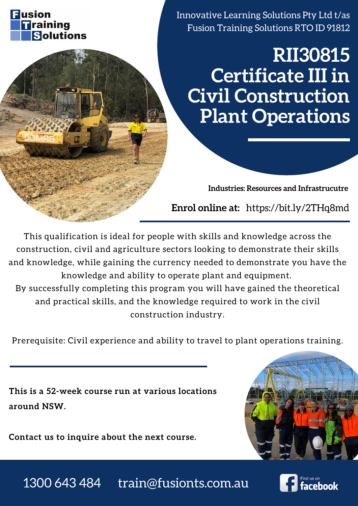# **RII30815 Certificate III in Civil Construction Plant Operations**



Innovative Learning Solutions Pty Ltd t/as Fusion Training Solutions RTO ID 91812

**Industries: Resources and Infrastrucutre**

**This is a 52-week course run at various locations around NSW.**

**Contact us to inquire about the next course.**



This qualification is ideal for people with skills and knowledge across the construction, civil and agriculture sectors looking to demonstrate their skills and knowledge, while gaining the currency needed to demonstrate you have the

knowledge and ability to operate plant and equipment. By successfully completing this program you will have gained the theoretical and practical skills, and the knowledge required to work in the civil construction industry.

Prerequisite: Civil experience and ability to travel to plant operations training.

**Enrol online at:** https://bit.ly/2THq8md

## 1300 643 484 train@fusionts.com.au